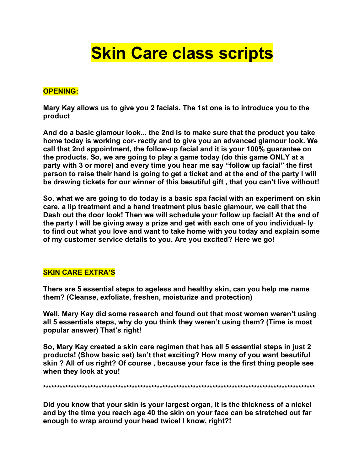## **Skin Care class scripts**

## **OPENING:**

**Mary Kay allows us to give you 2 facials. The 1st one is to introduce you to the product** 

**And do a basic glamour look... the 2nd is to make sure that the product you take home today is working cor- rectly and to give you an advanced glamour look. We call that 2nd appointment, the follow-up facial and it is your 100% guarantee on the products. So, we are going to play a game today (do this game ONLY at a party with 3 or more) and every time you hear me say "follow up facial" the first person to raise their hand is going to get a ticket and at the end of the party I will be drawing tickets for our winner of this beautiful gift , that you can't live without!** 

**So, what we are going to do today is a basic spa facial with an experiment on skin care, a lip treatment and a hand treatment plus basic glamour, we call that the Dash out the door look! Then we will schedule your follow up facial! At the end of the party I will be giving away a prize and get with each one of you individual- ly to find out what you love and want to take home with you today and explain some of my customer service details to you. Are you excited? Here we go!** 

## **SKIN CARE EXTRA'S**

**There are 5 essential steps to ageless and healthy skin, can you help me name them? (Cleanse, exfoliate, freshen, moisturize and protection)** 

**Well, Mary Kay did some research and found out that most women weren't using all 5 essentials steps, why do you think they weren't using them? (Time is most popular answer) That's right!** 

**So, Mary Kay created a skin care regimen that has all 5 essential steps in just 2 products! (Show basic set) Isn't that exciting? How many of you want beautiful skin ? All of us right? Of course , because your face is the first thing people see when they look at you!** 

**\*\*\*\*\*\*\*\*\*\*\*\*\*\*\*\*\*\*\*\*\*\*\*\*\*\*\*\*\*\*\*\*\*\*\*\*\*\*\*\*\*\*\*\*\*\*\*\*\*\*\*\*\*\*\*\*\*\*\*\*\*\*\*\*\*\*\*\*\*\*\*\*\*\*\*\*\*\*\*\*\*\*\*\*\*\*\*\*\*\*\*\*\*\*\*\*\*\***

**Did you know that your skin is your largest organ, it is the thickness of a nickel and by the time you reach age 40 the skin on your face can be stretched out far enough to wrap around your head twice! I know, right?!**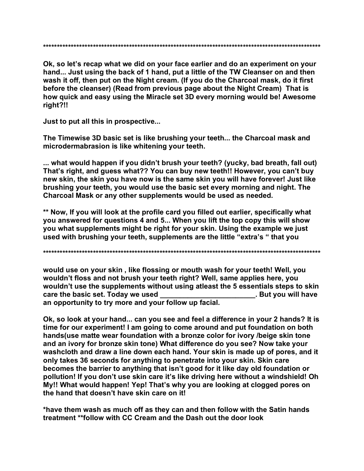Ok, so let's recap what we did on your face earlier and do an experiment on your hand... Just using the back of 1 hand, put a little of the TW Cleanser on and then wash it off, then put on the Night cream. (If you do the Charcoal mask, do it first before the cleanser) (Read from previous page about the Night Cream) That is how quick and easy using the Miracle set 3D every morning would be! Awesome right?!!

Just to put all this in prospective...

The Timewise 3D basic set is like brushing your teeth... the Charcoal mask and microdermabrasion is like whitening your teeth.

... what would happen if you didn't brush your teeth? (yucky, bad breath, fall out) That's right, and guess what?? You can buy new teeth!! However, you can't buy new skin, the skin you have now is the same skin you will have forever! Just like brushing your teeth, you would use the basic set every morning and night. The Charcoal Mask or any other supplements would be used as needed.

\*\* Now, If you will look at the profile card you filled out earlier, specifically what you answered for questions 4 and 5... When you lift the top copy this will show you what supplements might be right for your skin. Using the example we just used with brushing your teeth, supplements are the little "extra's " that you

would use on your skin, like flossing or mouth wash for your teeth! Well, you wouldn't floss and not brush your teeth right? Well, same applies here, you wouldn't use the supplements without using atleast the 5 essentials steps to skin care the basic set. Today we used . But you will have an opportunity to try more and your follow up facial.

Ok, so look at your hand... can you see and feel a difference in your 2 hands? It is time for our experiment! I am going to come around and put foundation on both hands (use matte wear foundation with a bronze color for ivory /beige skin tone and an ivory for bronze skin tone) What difference do you see? Now take your washcloth and draw a line down each hand. Your skin is made up of pores, and it only takes 36 seconds for anything to penetrate into your skin. Skin care becomes the barrier to anything that isn't good for it like day old foundation or pollution! If you don't use skin care it's like driving here without a windshield! Oh My!! What would happen! Yep! That's why you are looking at clogged pores on the hand that doesn't have skin care on it!

\*have them wash as much off as they can and then follow with the Satin hands treatment \*\*follow with CC Cream and the Dash out the door look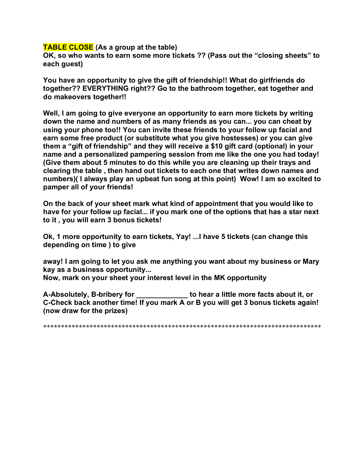## **TABLE CLOSE (As a group at the table)**

**OK, so who wants to earn some more tickets ?? (Pass out the "closing sheets" to each guest)** 

**You have an opportunity to give the gift of friendship!! What do girlfriends do together?? EVERYTHING right?? Go to the bathroom together, eat together and do makeovers together!!** 

**Well, I am going to give everyone an opportunity to earn more tickets by writing down the name and numbers of as many friends as you can... you can cheat by using your phone too!! You can invite these friends to your follow up facial and earn some free product (or substitute what you give hostesses) or you can give them a "gift of friendship" and they will receive a \$10 gift card (optional) in your name and a personalized pampering session from me like the one you had today! (Give them about 5 minutes to do this while you are cleaning up their trays and clearing the table , then hand out tickets to each one that writes down names and numbers)( I always play an upbeat fun song at this point) Wow! I am so excited to pamper all of your friends!** 

**On the back of your sheet mark what kind of appointment that you would like to have for your follow up facial... if you mark one of the options that has a star next to it , you will earn 3 bonus tickets!** 

**Ok, 1 more opportunity to earn tickets, Yay! ...I have 5 tickets (can change this depending on time ) to give** 

**away! I am going to let you ask me anything you want about my business or Mary kay as a business opportunity... Now, mark on your sheet your interest level in the MK opportunity** 

**A-Absolutely, B-bribery for \_\_\_\_\_\_\_\_\_\_\_\_\_ to hear a little more facts about it, or C-Check back another time! If you mark A or B you will get 3 bonus tickets again! (now draw for the prizes)** 

\*\*\*\*\*\*\*\*\*\*\*\*\*\*\*\*\*\*\*\*\*\*\*\*\*\*\*\*\*\*\*\*\*\*\*\*\*\*\*\*\*\*\*\*\*\*\*\*\*\*\*\*\*\*\*\*\*\*\*\*\*\*\*\*\*\*\*\*\*\*\*\*\*\*\*\*\*\*